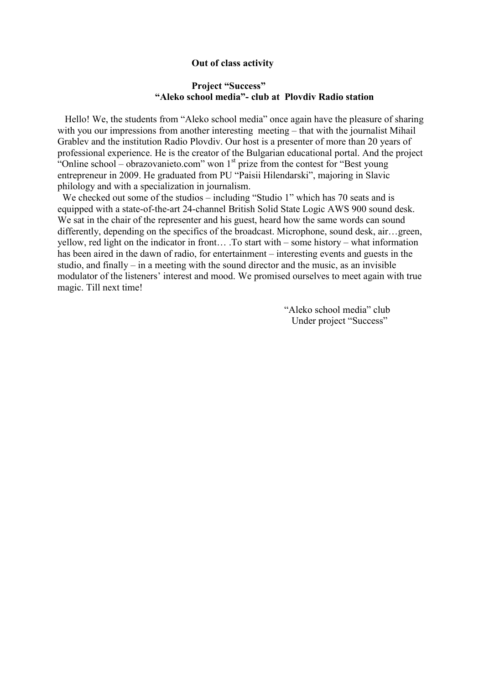## **Out of class activity**

## **Project "Success" "Aleko school media"- club at Plovdiv Radio station**

 Hello! We, the students from "Aleko school media" once again have the pleasure of sharing with you our impressions from another interesting meeting – that with the journalist Mihail Grablev and the institution Radio Plovdiv. Our host is a presenter of more than 20 years of professional experience. He is the creator of the Bulgarian educational portal. And the project "Online school – obrazovanieto.com" won  $1<sup>st</sup>$  prize from the contest for "Best young entrepreneur in 2009. He graduated from PU "Paisii Hilendarski", majoring in Slavic philology and with a specialization in journalism.

We checked out some of the studios – including "Studio 1" which has 70 seats and is equipped with a state-of-the-art 24-channel British Solid State Logic AWS 900 sound desk. We sat in the chair of the representer and his guest, heard how the same words can sound differently, depending on the specifics of the broadcast. Microphone, sound desk, air…green, yellow, red light on the indicator in front… .To start with – some history – what information has been aired in the dawn of radio, for entertainment – interesting events and guests in the studio, and finally – in a meeting with the sound director and the music, as an invisible modulator of the listeners' interest and mood. We promised ourselves to meet again with true magic. Till next time!

> "Aleko school media" club Under project "Success"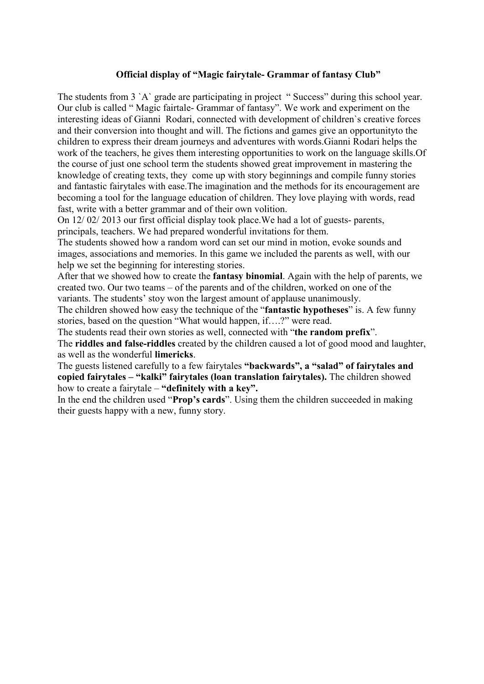## **Official display of "Magic fairytale- Grammar of fantasy Club"**

The students from 3 `A` grade are participating in project "Success" during this school year. Our club is called " Magic fairtale- Grammar of fantasy". We work and experiment on the interesting ideas of Gianni Rodari, connected with development of children`s creative forces and their conversion into thought and will. The fictions and games give an opportunityto the children to express their dream journeys and adventures with words.Gianni Rodari helps the work of the teachers, he gives them interesting opportunities to work on the language skills.Of the course of just one school term the students showed great improvement in mastering the knowledge of creating texts, they come up with story beginnings and compile funny stories and fantastic fairytales with ease.The imagination and the methods for its encouragement are becoming a tool for the language education of children. They love playing with words, read fast, write with a better grammar and of their own volition.

On 12/ 02/ 2013 our first official display took place.We had a lot of guests- parents, principals, teachers. We had prepared wonderful invitations for them.

The students showed how a random word can set our mind in motion, evoke sounds and images, associations and memories. In this game we included the parents as well, with our help we set the beginning for interesting stories.

After that we showed how to create the **fantasy binomial**. Again with the help of parents, we created two. Our two teams – of the parents and of the children, worked on one of the variants. The students' stoy won the largest amount of applause unanimously.

The children showed how easy the technique of the "**fantastic hypotheses**" is. A few funny stories, based on the question "What would happen, if….?" were read.

The students read their own stories as well, connected with "**the random prefix**". The **riddles and false-riddles** created by the children caused a lot of good mood and laughter, as well as the wonderful **limericks**.

The guests listened carefully to a few fairytales **"backwards", a "salad" of fairytales and copied fairytales – "kalki" fairytales (loan translation fairytales).** The children showed how to create a fairytale – **"definitely with a key".** 

In the end the children used "**Prop's cards**". Using them the children succeeded in making their guests happy with a new, funny story.